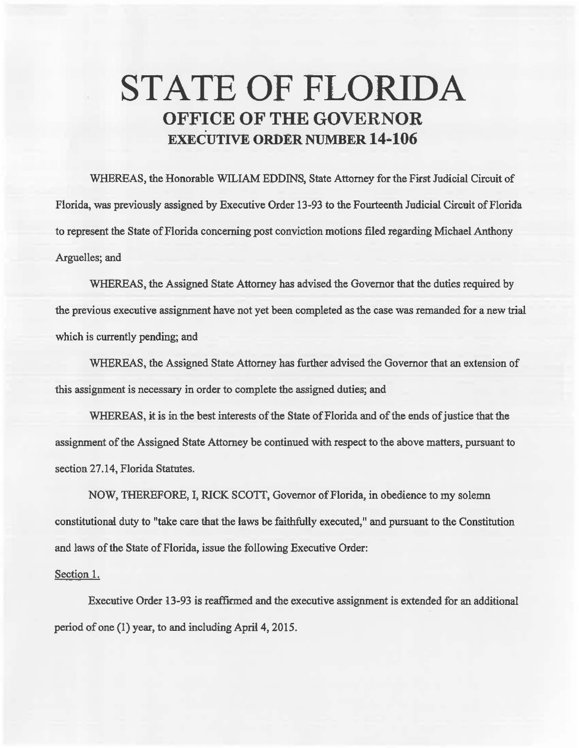## **STATE OF FLORIDA OFFICE OF THE GOVERNOR EXECUTIVE ORDER NUMBER 14·106**

WHEREAS, the Honorable WILIAM EDDINS, State Attorney for the First Judicial Circuit of Florida, was previously assigned by Executive Order 13-93 to the Fourteenth Judicial Circuit of Florida to represent the State of Florida concerning post conviction motions filed regarding Michael Anthony Arguelles; and

WHEREAS, the Assigned State Attorney has advised the Governor that the duties required by the previous executive assignment have not yet been completed as the case was remanded for a new trial which is currently pending; and

WHEREAS, the Assigned State Attorney has further advised the Governor that an extension of this assignment is necessary in order to complete the assigned duties; and

WHEREAS, it is in the best interests of the State of Florida and of the ends of justice that the assignment of the Assigned State Attorney be continued with respect to the above matters, pursuant to section 27.14, Florida Statutes.

NOW, THEREFORE, I, RICK SCOTT, Governor of Florida, in obedience to my solemn consfitutional duty to "take care that the laws be faithfully executed, 11 and pursuant to the Constitution and laws of the State of Florida, issue the following Executive Order:

## Section 1.

Executive Order l3-93 is reaffirmed and the executive assignment is extended for an additional period of one (1) year, to and including April 4, 2015.